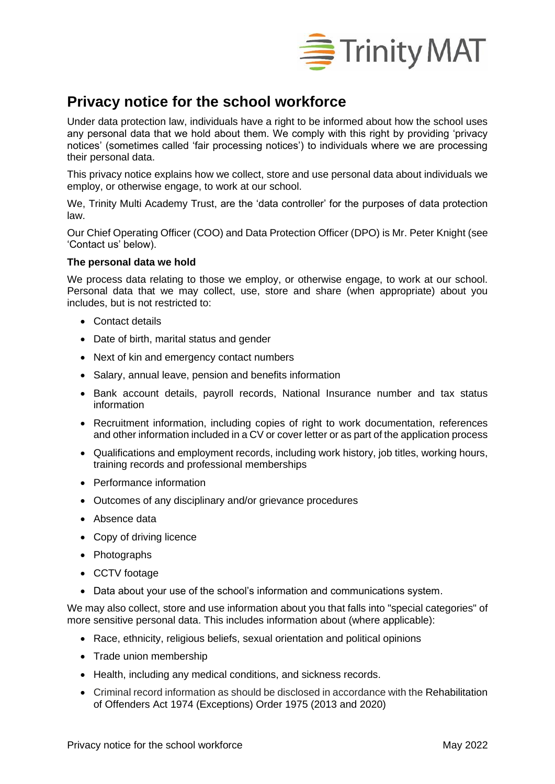

# **Privacy notice for the school workforce**

Under data protection law, individuals have a right to be informed about how the school uses any personal data that we hold about them. We comply with this right by providing 'privacy notices' (sometimes called 'fair processing notices') to individuals where we are processing their personal data.

This privacy notice explains how we collect, store and use personal data about individuals we employ, or otherwise engage, to work at our school.

We, Trinity Multi Academy Trust, are the 'data controller' for the purposes of data protection law.

Our Chief Operating Officer (COO) and Data Protection Officer (DPO) is Mr. Peter Knight (see 'Contact us' below).

## **The personal data we hold**

We process data relating to those we employ, or otherwise engage, to work at our school. Personal data that we may collect, use, store and share (when appropriate) about you includes, but is not restricted to:

- Contact details
- Date of birth, marital status and gender
- Next of kin and emergency contact numbers
- Salary, annual leave, pension and benefits information
- Bank account details, payroll records, National Insurance number and tax status information
- Recruitment information, including copies of right to work documentation, references and other information included in a CV or cover letter or as part of the application process
- Qualifications and employment records, including work history, job titles, working hours, training records and professional memberships
- Performance information
- Outcomes of any disciplinary and/or grievance procedures
- Absence data
- Copy of driving licence
- Photographs
- CCTV footage
- Data about your use of the school's information and communications system.

We may also collect, store and use information about you that falls into "special categories" of more sensitive personal data. This includes information about (where applicable):

- Race, ethnicity, religious beliefs, sexual orientation and political opinions
- Trade union membership
- Health, including any medical conditions, and sickness records.
- Criminal record information as should be disclosed in accordance with the Rehabilitation of Offenders Act 1974 (Exceptions) Order 1975 (2013 and 2020)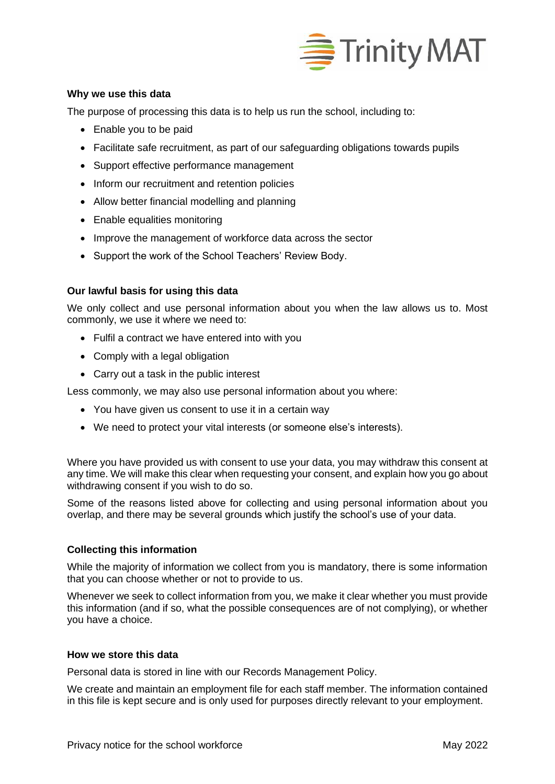

## **Why we use this data**

The purpose of processing this data is to help us run the school, including to:

- Enable you to be paid
- Facilitate safe recruitment, as part of our safeguarding obligations towards pupils
- Support effective performance management
- Inform our recruitment and retention policies
- Allow better financial modelling and planning
- Enable equalities monitoring
- Improve the management of workforce data across the sector
- Support the work of the School Teachers' Review Body.

## **Our lawful basis for using this data**

We only collect and use personal information about you when the law allows us to. Most commonly, we use it where we need to:

- Fulfil a contract we have entered into with you
- Comply with a legal obligation
- Carry out a task in the public interest

Less commonly, we may also use personal information about you where:

- You have given us consent to use it in a certain way
- We need to protect your vital interests (or someone else's interests).

Where you have provided us with consent to use your data, you may withdraw this consent at any time. We will make this clear when requesting your consent, and explain how you go about withdrawing consent if you wish to do so.

Some of the reasons listed above for collecting and using personal information about you overlap, and there may be several grounds which justify the school's use of your data.

## **Collecting this information**

While the majority of information we collect from you is mandatory, there is some information that you can choose whether or not to provide to us.

Whenever we seek to collect information from you, we make it clear whether you must provide this information (and if so, what the possible consequences are of not complying), or whether you have a choice.

## **How we store this data**

Personal data is stored in line with our Records Management Policy.

We create and maintain an employment file for each staff member. The information contained in this file is kept secure and is only used for purposes directly relevant to your employment.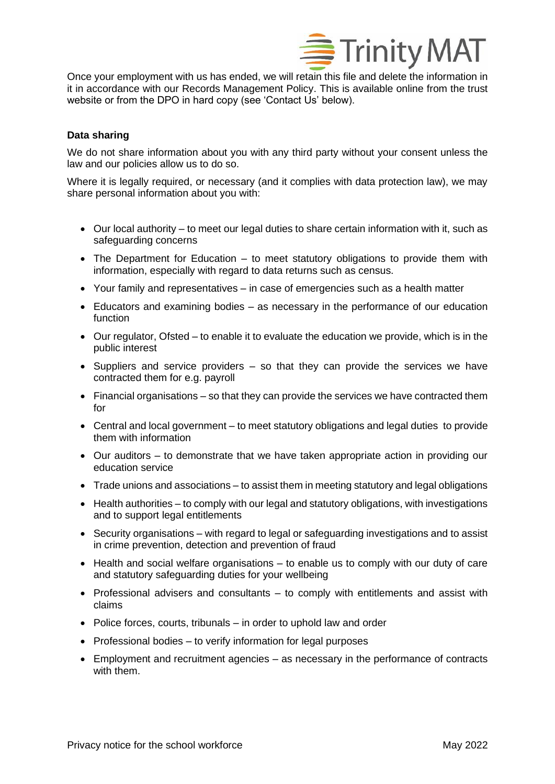

Once your employment with us has ended, we will retain this file and delete the information in it in accordance with our Records Management Policy. This is available online from the trust website or from the DPO in hard copy (see 'Contact Us' below).

# **Data sharing**

We do not share information about you with any third party without your consent unless the law and our policies allow us to do so.

Where it is legally required, or necessary (and it complies with data protection law), we may share personal information about you with:

- Our local authority to meet our legal duties to share certain information with it, such as safeguarding concerns
- The Department for Education to meet statutory obligations to provide them with information, especially with regard to data returns such as census.
- Your family and representatives in case of emergencies such as a health matter
- Educators and examining bodies as necessary in the performance of our education function
- Our regulator, Ofsted to enable it to evaluate the education we provide, which is in the public interest
- Suppliers and service providers so that they can provide the services we have contracted them for e.g. payroll
- Financial organisations so that they can provide the services we have contracted them for
- Central and local government to meet statutory obligations and legal duties to provide them with information
- Our auditors to demonstrate that we have taken appropriate action in providing our education service
- Trade unions and associations to assist them in meeting statutory and legal obligations
- Health authorities to comply with our legal and statutory obligations, with investigations and to support legal entitlements
- Security organisations with regard to legal or safeguarding investigations and to assist in crime prevention, detection and prevention of fraud
- Health and social welfare organisations to enable us to comply with our duty of care and statutory safeguarding duties for your wellbeing
- Professional advisers and consultants to comply with entitlements and assist with claims
- Police forces, courts, tribunals in order to uphold law and order
- Professional bodies to verify information for legal purposes
- Employment and recruitment agencies as necessary in the performance of contracts with them.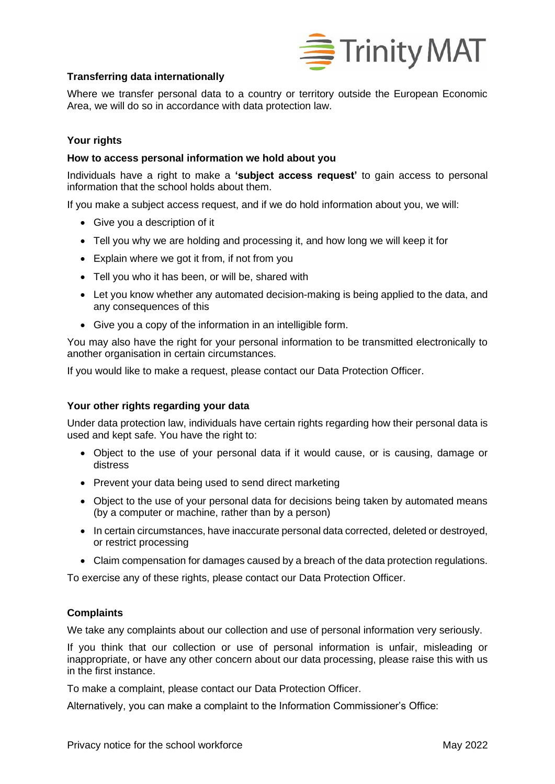

# **Transferring data internationally**

Where we transfer personal data to a country or territory outside the European Economic Area, we will do so in accordance with data protection law.

## **Your rights**

## **How to access personal information we hold about you**

Individuals have a right to make a **'subject access request'** to gain access to personal information that the school holds about them.

If you make a subject access request, and if we do hold information about you, we will:

- Give you a description of it
- Tell you why we are holding and processing it, and how long we will keep it for
- Explain where we got it from, if not from you
- Tell you who it has been, or will be, shared with
- Let you know whether any automated decision-making is being applied to the data, and any consequences of this
- Give you a copy of the information in an intelligible form.

You may also have the right for your personal information to be transmitted electronically to another organisation in certain circumstances.

If you would like to make a request, please contact our Data Protection Officer.

## **Your other rights regarding your data**

Under data protection law, individuals have certain rights regarding how their personal data is used and kept safe. You have the right to:

- Object to the use of your personal data if it would cause, or is causing, damage or distress
- Prevent your data being used to send direct marketing
- Object to the use of your personal data for decisions being taken by automated means (by a computer or machine, rather than by a person)
- In certain circumstances, have inaccurate personal data corrected, deleted or destroyed, or restrict processing
- Claim compensation for damages caused by a breach of the data protection regulations.

To exercise any of these rights, please contact our Data Protection Officer.

# **Complaints**

We take any complaints about our collection and use of personal information very seriously.

If you think that our collection or use of personal information is unfair, misleading or inappropriate, or have any other concern about our data processing, please raise this with us in the first instance.

To make a complaint, please contact our Data Protection Officer.

Alternatively, you can make a complaint to the Information Commissioner's Office: